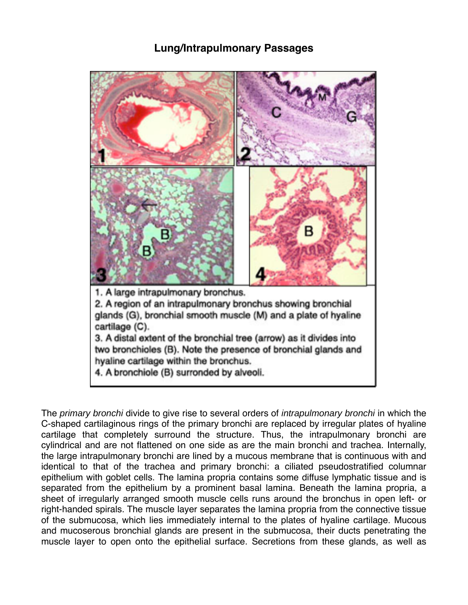## **Lung/Intrapulmonary Passages**



The *primary bronchi* divide to give rise to several orders of *intrapulmonary bronchi* in which the C-shaped cartilaginous rings of the primary bronchi are replaced by irregular plates of hyaline cartilage that completely surround the structure. Thus, the intrapulmonary bronchi are cylindrical and are not flattened on one side as are the main bronchi and trachea. Internally, the large intrapulmonary bronchi are lined by a mucous membrane that is continuous with and identical to that of the trachea and primary bronchi: a ciliated pseudostratified columnar epithelium with goblet cells. The lamina propria contains some diffuse lymphatic tissue and is separated from the epithelium by a prominent basal lamina. Beneath the lamina propria, a sheet of irregularly arranged smooth muscle cells runs around the bronchus in open left- or right-handed spirals. The muscle layer separates the lamina propria from the connective tissue of the submucosa, which lies immediately internal to the plates of hyaline cartilage. Mucous and mucoserous bronchial glands are present in the submucosa, their ducts penetrating the muscle layer to open onto the epithelial surface. Secretions from these glands, as well as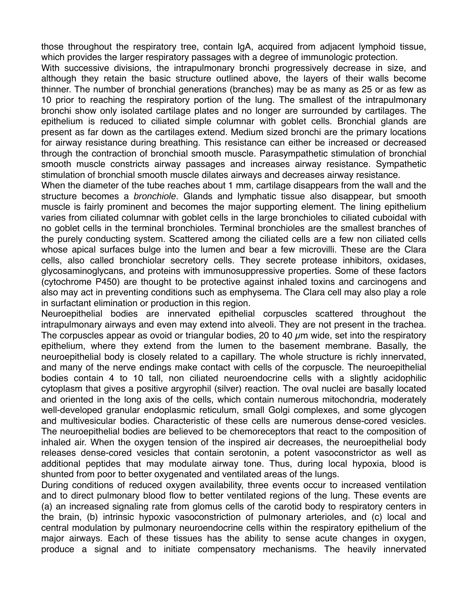those throughout the respiratory tree, contain IgA, acquired from adjacent lymphoid tissue, which provides the larger respiratory passages with a degree of immunologic protection.

With successive divisions, the intrapulmonary bronchi progressively decrease in size, and although they retain the basic structure outlined above, the layers of their walls become thinner. The number of bronchial generations (branches) may be as many as 25 or as few as 10 prior to reaching the respiratory portion of the lung. The smallest of the intrapulmonary bronchi show only isolated cartilage plates and no longer are surrounded by cartilages. The epithelium is reduced to ciliated simple columnar with goblet cells. Bronchial glands are present as far down as the cartilages extend. Medium sized bronchi are the primary locations for airway resistance during breathing. This resistance can either be increased or decreased through the contraction of bronchial smooth muscle. Parasympathetic stimulation of bronchial smooth muscle constricts airway passages and increases airway resistance. Sympathetic stimulation of bronchial smooth muscle dilates airways and decreases airway resistance.

When the diameter of the tube reaches about 1 mm, cartilage disappears from the wall and the structure becomes a *bronchiole*. Glands and lymphatic tissue also disappear, but smooth muscle is fairly prominent and becomes the major supporting element. The lining epithelium varies from ciliated columnar with goblet cells in the large bronchioles to ciliated cuboidal with no goblet cells in the terminal bronchioles. Terminal bronchioles are the smallest branches of the purely conducting system. Scattered among the ciliated cells are a few non ciliated cells whose apical surfaces bulge into the lumen and bear a few microvilli. These are the Clara cells, also called bronchiolar secretory cells. They secrete protease inhibitors, oxidases, glycosaminoglycans, and proteins with immunosuppressive properties. Some of these factors (cytochrome P450) are thought to be protective against inhaled toxins and carcinogens and also may act in preventing conditions such as emphysema. The Clara cell may also play a role in surfactant elimination or production in this region.

Neuroepithelial bodies are innervated epithelial corpuscles scattered throughout the intrapulmonary airways and even may extend into alveoli. They are not present in the trachea. The corpuscles appear as ovoid or triangular bodies, 20 to 40  $\mu$ m wide, set into the respiratory epithelium, where they extend from the lumen to the basement membrane. Basally, the neuroepithelial body is closely related to a capillary. The whole structure is richly innervated, and many of the nerve endings make contact with cells of the corpuscle. The neuroepithelial bodies contain 4 to 10 tall, non ciliated neuroendocrine cells with a slightly acidophilic cytoplasm that gives a positive argyrophil (silver) reaction. The oval nuclei are basally located and oriented in the long axis of the cells, which contain numerous mitochondria, moderately well-developed granular endoplasmic reticulum, small Golgi complexes, and some glycogen and multivesicular bodies. Characteristic of these cells are numerous dense-cored vesicles. The neuroepithelial bodies are believed to be chemoreceptors that react to the composition of inhaled air. When the oxygen tension of the inspired air decreases, the neuroepithelial body releases dense-cored vesicles that contain serotonin, a potent vasoconstrictor as well as additional peptides that may modulate airway tone. Thus, during local hypoxia, blood is shunted from poor to better oxygenated and ventilated areas of the lungs.

During conditions of reduced oxygen availability, three events occur to increased ventilation and to direct pulmonary blood flow to better ventilated regions of the lung. These events are (a) an increased signaling rate from glomus cells of the carotid body to respiratory centers in the brain, (b) intrinsic hypoxic vasoconstriction of pulmonary arterioles, and (c) local and central modulation by pulmonary neuroendocrine cells within the respiratory epithelium of the major airways. Each of these tissues has the ability to sense acute changes in oxygen, produce a signal and to initiate compensatory mechanisms. The heavily innervated